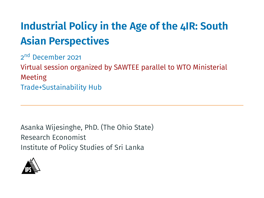### **Industrial Policy in the Age of the 4IR: South Asian Perspectives**

2<sup>nd</sup> December 2021 Virtual session organized by SAWTEE parallel to WTO Ministerial Meeting Trade+Sustainability Hub

Asanka Wijesinghe, PhD. (The Ohio State) Research Economist Institute of Policy Studies of Sri Lanka

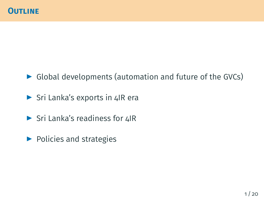- $\triangleright$  Global developments (automation and future of the GVCs)
- ▶ Sri Lanka's exports in 4IR era
- ▶ Sri Lanka's readiness for 4IR
- ▶ Policies and strategies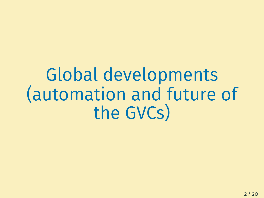# Global developments (automation and future of the GVCs)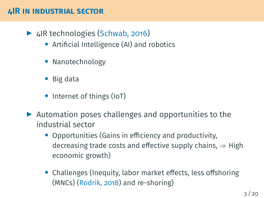#### **4IR IN INDUSTRIAL SECTOR**

- ▶4IR technologies ([Schwab, 2016](#page-22-0))
	- *•* Artificial Intelligence (AI) and robotics
	- *•* Nanotechnology
	- *•* Big data
	- Internet of things (IoT)
- ▶ Automation poses challenges and opportunities to the industrial sector
	- *•* Opportunities (Gains in efficiency and productivity, decreasing trade costs and effective supply chains, *⇒* High economic growth)
	- *•* Challenges (Inequity, labor market effects, less offshoring (MNCs)([Rodrik, 2018](#page-22-1)) and re-shoring)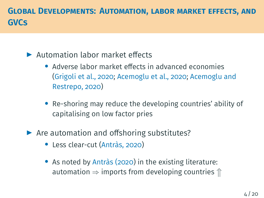#### **GLOBAL DEVELOPMENTS: AUTOMATION, LABOR MARKET EFFECTS, AND GVCS**

#### ▶ Automation labor market effects

- *•* Adverse labor market effects in advanced economies [\(Grigoli et al., 2020](#page-22-2); [Acemoglu et al., 2020](#page-21-0); [Acemoglu and](#page-21-1) [Restrepo, 2020\)](#page-21-1)
- *•* Re-shoring may reduce the developing countries' ability of capitalising on low factor pries
- ▶ Are automation and offshoring substitutes?
	- *•* Less clear-cut [\(Antràs, 2020\)](#page-21-2)
	- *•* As noted by [Antràs \(2020](#page-21-2)) in the existing literature: automation  $\Rightarrow$  imports from developing countries  $\Uparrow$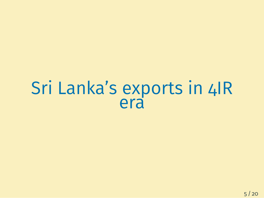## Sri Lanka's exports in 4IR era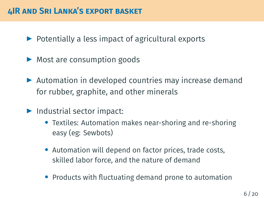#### **4IR AND SRI LANKA'S EXPORT BASKET**

- $\triangleright$  Potentially a less impact of agricultural exports
- ▶ Most are consumption goods
- ▶ Automation in developed countries may increase demand for rubber, graphite, and other minerals
- ▶ Industrial sector impact:
	- *•* Textiles: Automation makes near-shoring and re-shoring easy (eg: Sewbots)
	- *•* Automation will depend on factor prices, trade costs, skilled labor force, and the nature of demand
	- *•* Products with fluctuating demand prone to automation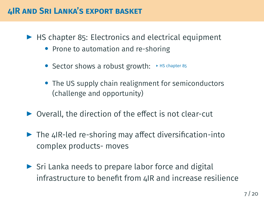#### **4IR AND SRI LANKA'S EXPORT BASKET**

<span id="page-7-0"></span> $\blacktriangleright$  HS chapter 85: Electronics and electrical equipment

- *•* Prone to automation and re-shoring
- Sector shows a robust growth:  $\rightarrow$  HS [chapter 85](#page-16-0)
- *•* The US supply chain realignment for semiconductors (challenge and opportunity)
- ▶ Overall, the direction of the effect is not clear-cut
- $\blacktriangleright$  The 4IR-led re-shoring may affect diversification-into complex products- moves
- ▶ Sri Lanka needs to prepare labor force and digital infrastructure to benefit from 4IR and increase resilience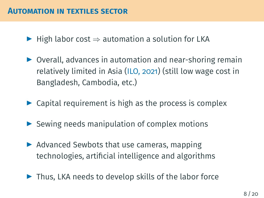- ▶ High labor cost *⇒* automation a solution for LKA
- ▶ Overall, advances in automation and near-shoring remain relatively limited in Asia([ILO, 2021\)](#page-22-3) (still low wage cost in Bangladesh, Cambodia, etc.)
- $\triangleright$  Capital requirement is high as the process is complex
- $\triangleright$  Sewing needs manipulation of complex motions
- ▶ Advanced Sewbots that use cameras, mapping technologies, artificial intelligence and algorithms
- ▶ Thus, LKA needs to develop skills of the labor force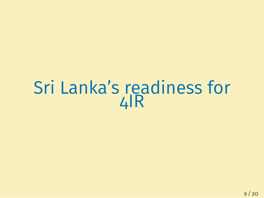### Sri Lanka's readiness for 4IR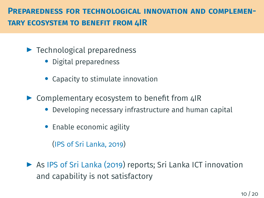#### **PREPAREDNESS FOR TECHNOLOGICAL INNOVATION AND COMPLEMEN-TARY ECOSYSTEM TO BENEFIT FROM 4IR**

- $\blacktriangleright$  Technological preparedness
	- *•* Digital preparedness
	- *•* Capacity to stimulate innovation
- ▶ Complementary ecosystem to benefit from 4IR
	- *•* Developing necessary infrastructure and human capital
	- *•* Enable economic agility

[\(IPS of Sri Lanka, 2019](#page-22-4))

▶ As [IPS of Sri Lanka \(2019\)](#page-22-4) reports; Sri Lanka ICT innovation and capability is not satisfactory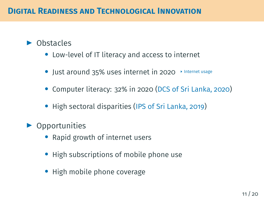#### <span id="page-11-0"></span>▶ Obstacles

- *•* Low-level of IT literacy and access to internet
- Just around 35% uses internet in 2020 > [Internet usage](#page-17-0)
- *•* Computer literacy: 32% in 2020([DCS of Sri Lanka, 2020\)](#page-21-3)
- *•* High sectoral disparities([IPS of Sri Lanka, 2019\)](#page-22-4)
- $\blacktriangleright$  Opportunities
	- *•* Rapid growth of internet users
	- *•* High subscriptions of mobile phone use
	- *•* High mobile phone coverage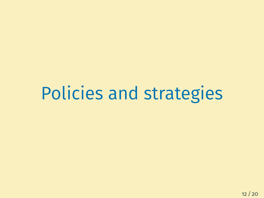Policies and strategies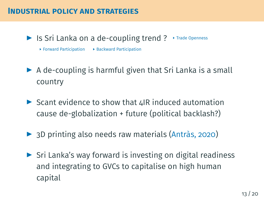#### **INDUSTRIAL POLICY AND STRATEGIES**

<span id="page-13-0"></span> $\blacktriangleright$  Is Sri Lanka on a de-coupling trend ?  $\blacktriangleright$  [Trade Openness](#page-18-0)

 $\triangleright$  [Forward Participation](#page-19-0)  $\triangleright$  [Backward Participation](#page-20-0)

- $\triangleright$  A de-coupling is harmful given that Sri Lanka is a small country
- $\triangleright$  Scant evidence to show that 4IR induced automation cause de-globalization + future (political backlash?)
- ▶3D printing also needs raw materials ([Antràs, 2020](#page-21-2))
- ▶ Sri Lanka's way forward is investing on digital readiness and integrating to GVCs to capitalise on high human capital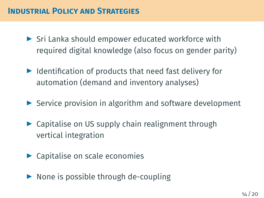#### **INDUSTRIAL POLICY AND STRATEGIES**

- ▶ Sri Lanka should empower educated workforce with required digital knowledge (also focus on gender parity)
- ▶ Identification of products that need fast delivery for automation (demand and inventory analyses)
- ▶ Service provision in algorithm and software development
- ▶ Capitalise on US supply chain realignment through vertical integration
- ▶ Capitalise on scale economies
- ▶ None is possible through de-coupling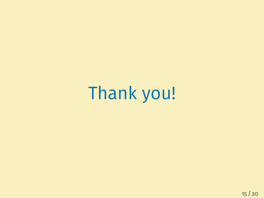Thank you!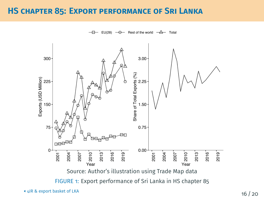#### <span id="page-16-0"></span>**HS CHAPTER 85: EXPORT PERFORMANCE OF SRI LANKA**

Rest of the world  $-\Delta$  Total EU(28)

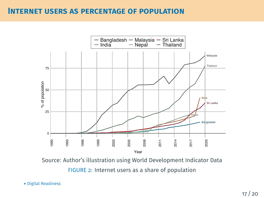#### <span id="page-17-0"></span>**INTERNET USERS AS PERCENTAGE OF POPULATION**



Source: Author's illustration using World Development Indicator Data FIGURE 2: Internet users as a share of population

#### [Digital Readiness](#page-11-0)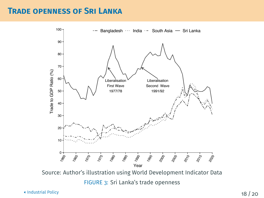#### <span id="page-18-0"></span>**TRADE OPENNESS OF SRI LANKA**



 $\blacksquare$ [Industrial Policy](#page-13-0)  $\blacksquare$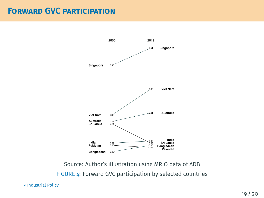#### <span id="page-19-0"></span>**FORWARD GVC PARTICIPATION**



Source: Author's illustration using MRIO data of ADB FIGURE 4: Forward GVC participation by selected countries

[Industrial Policy](#page-13-0)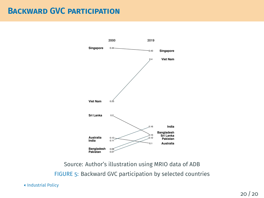#### <span id="page-20-0"></span>**BACKWARD GVC PARTICIPATION**



Source: Author's illustration using MRIO data of ADB FIGURE 5: Backward GVC participation by selected countries

[Industrial Policy](#page-13-0)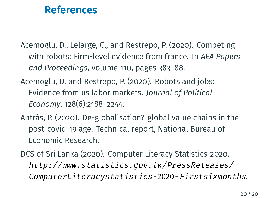### <span id="page-21-4"></span>**[References](#page-21-4)**

<span id="page-21-0"></span>Acemoglu, D., Lelarge, C., and Restrepo, P. (2020). Competing with robots: Firm-level evidence from france. In *AEA Papers and Proceedings*, volume 110, pages 383–88.

- <span id="page-21-1"></span>Acemoglu, D. and Restrepo, P. (2020). Robots and jobs: Evidence from us labor markets. *Journal of Political Economy*, 128(6):2188–2244.
- <span id="page-21-2"></span>Antràs, P. (2020). De-globalisation? global value chains in the post-covid-19 age. Technical report, National Bureau of Economic Research.
- <span id="page-21-3"></span>DCS of Sri Lanka (2020). Computer Literacy Statistics-2020. *[http://www.statistics.gov.lk/PressReleases/](http://www.statistics.gov.lk/PressReleases/ComputerLiteracystatistics-2020-Firstsixmonths) [ComputerLiteracystatistics-](http://www.statistics.gov.lk/PressReleases/ComputerLiteracystatistics-2020-Firstsixmonths)*2020*-Firstsixmonths*.